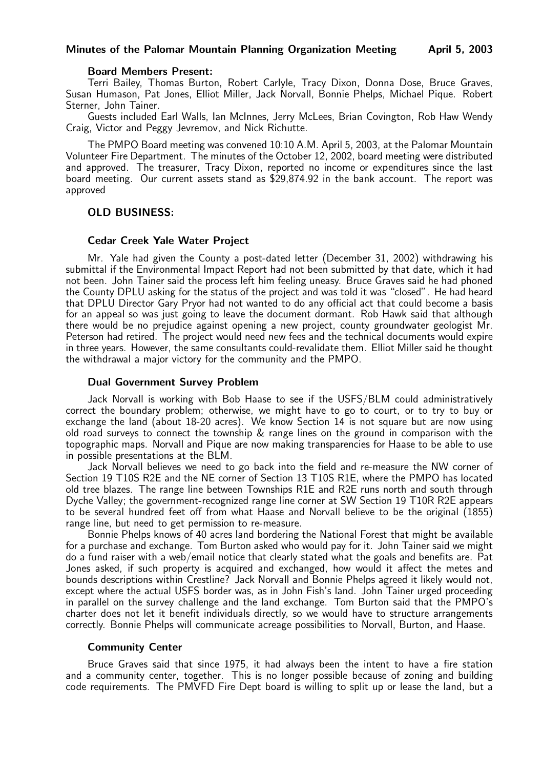### Minutes of the Palomar Mountain Planning Organization Meeting April 5, 2003

#### Board Members Present:

Terri Bailey, Thomas Burton, Robert Carlyle, Tracy Dixon, Donna Dose, Bruce Graves, Susan Humason, Pat Jones, Elliot Miller, Jack Norvall, Bonnie Phelps, Michael Pique. Robert Sterner, John Tainer.

Guests included Earl Walls, Ian McInnes, Jerry McLees, Brian Covington, Rob Haw Wendy Craig, Victor and Peggy Jevremov, and Nick Richutte.

The PMPO Board meeting was convened 10:10 A.M. April 5, 2003, at the Palomar Mountain Volunteer Fire Department. The minutes of the October 12, 2002, board meeting were distributed and approved. The treasurer, Tracy Dixon, reported no income or expenditures since the last board meeting. Our current assets stand as \$29,874.92 in the bank account. The report was approved

### OLD BUSINESS:

### Cedar Creek Yale Water Project

Mr. Yale had given the County a post-dated letter (December 31, 2002) withdrawing his submittal if the Environmental Impact Report had not been submitted by that date, which it had not been. John Tainer said the process left him feeling uneasy. Bruce Graves said he had phoned the County DPLU asking for the status of the project and was told it was "closed". He had heard that DPLU Director Gary Pryor had not wanted to do any official act that could become a basis for an appeal so was just going to leave the document dormant. Rob Hawk said that although there would be no prejudice against opening a new project, county groundwater geologist Mr. Peterson had retired. The project would need new fees and the technical documents would expire in three years. However, the same consultants could-revalidate them. Elliot Miller said he thought the withdrawal a major victory for the community and the PMPO.

## Dual Government Survey Problem

Jack Norvall is working with Bob Haase to see if the USFS/BLM could administratively correct the boundary problem; otherwise, we might have to go to court, or to try to buy or exchange the land (about 18-20 acres). We know Section 14 is not square but are now using old road surveys to connect the township  $\&$  range lines on the ground in comparison with the topographic maps. Norvall and Pique are now making transparencies for Haase to be able to use in possible presentations at the BLM.

Jack Norvall believes we need to go back into the field and re-measure the NW corner of Section 19 T10S R2E and the NE corner of Section 13 T10S R1E, where the PMPO has located old tree blazes. The range line between Townships R1E and R2E runs north and south through Dyche Valley; the government-recognized range line corner at SW Section 19 T10R R2E appears to be several hundred feet off from what Haase and Norvall believe to be the original (1855) range line, but need to get permission to re-measure.

Bonnie Phelps knows of 40 acres land bordering the National Forest that might be available for a purchase and exchange. Tom Burton asked who would pay for it. John Tainer said we might do a fund raiser with a web/email notice that clearly stated what the goals and benefits are. Pat Jones asked, if such property is acquired and exchanged, how would it affect the metes and bounds descriptions within Crestline? Jack Norvall and Bonnie Phelps agreed it likely would not, except where the actual USFS border was, as in John Fish's land. John Tainer urged proceeding in parallel on the survey challenge and the land exchange. Tom Burton said that the PMPO's charter does not let it benefit individuals directly, so we would have to structure arrangements correctly. Bonnie Phelps will communicate acreage possibilities to Norvall, Burton, and Haase.

### Community Center

Bruce Graves said that since 1975, it had always been the intent to have a fire station and a community center, together. This is no longer possible because of zoning and building code requirements. The PMVFD Fire Dept board is willing to split up or lease the land, but a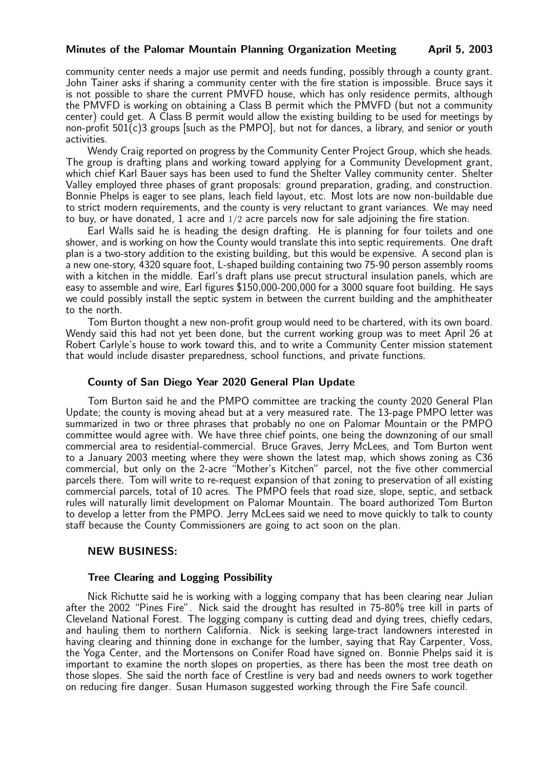### Minutes of the Palomar Mountain Planning Organization Meeting April 5, 2003

community center needs a major use permit and needs funding, possibly through a county grant. John Tainer asks if sharing a community center with the fire station is impossible. Bruce says it is not possible to share the current PMVFD house, which has only residence permits, although the PMVFD is working on obtaining a Class B permit which the PMVFD (but not a community center) could get. A Class B permit would allow the existing building to be used for meetings by non-profit  $501(c)3$  groups [such as the PMPO], but not for dances, a library, and senior or youth activities.

Wendy Craig reported on progress by the Community Center Project Group, which she heads. The group is drafting plans and working toward applying for a Community Development grant, which chief Karl Bauer says has been used to fund the Shelter Valley community center. Shelter Valley employed three phases of grant proposals: ground preparation, grading, and construction. Bonnie Phelps is eager to see plans, leach field layout, etc. Most lots are now non-buildable due to strict modern requirements, and the county is very reluctant to grant variances. We may need to buy, or have donated, 1 acre and  $1/2$  acre parcels now for sale adjoining the fire station.

Earl Walls said he is heading the design drafting. He is planning for four toilets and one shower, and is working on how the County would translate this into septic requirements. One draft plan is a two-story addition to the existing building, but this would be expensive. A second plan is a new one-story, 4320 square foot, L-shaped building containing two 75-90 person assembly rooms with a kitchen in the middle. Earl's draft plans use precut structural insulation panels, which are easy to assemble and wire, Earl figures \$150,000-200,000 for a 3000 square foot building. He says we could possibly install the septic system in between the current building and the amphitheater to the north.

Tom Burton thought a new non-profit group would need to be chartered, with its own board. Wendy said this had not yet been done, but the current working group was to meet April 26 at Robert Carlyle's house to work toward this, and to write a Community Center mission statement that would include disaster preparedness, school functions, and private functions.

### County of San Diego Year 2020 General Plan Update

Tom Burton said he and the PMPO committee are tracking the county 2020 General Plan Update; the county is moving ahead but at a very measured rate. The 13-page PMPO letter was summarized in two or three phrases that probably no one on Palomar Mountain or the PMPO committee would agree with. We have three chief points, one being the downzoning of our small commercial area to residential-commercial. Bruce Graves, Jerry McLees, and Tom Burton went to a January 2003 meeting where they were shown the latest map, which shows zoning as C36 commercial, but only on the 2-acre "Mother's Kitchen" parcel, not the five other commercial parcels there. Tom will write to re-request expansion of that zoning to preservation of all existing commercial parcels, total of 10 acres. The PMPO feels that road size, slope, septic, and setback rules will naturally limit development on Palomar Mountain. The board authorized Tom Burton to develop a letter from the PMPO. Jerry McLees said we need to move quickly to talk to county staff because the County Commissioners are going to act soon on the plan.

## NEW BUSINESS:

### Tree Clearing and Logging Possibility

Nick Richutte said he is working with a logging company that has been clearing near Julian after the 2002 "Pines Fire". Nick said the drought has resulted in 75-80% tree kill in parts of Cleveland National Forest. The logging company is cutting dead and dying trees, chiefly cedars, and hauling them to northern California. Nick is seeking large-tract landowners interested in having clearing and thinning done in exchange for the lumber, saying that Ray Carpenter, Voss, the Yoga Center, and the Mortensons on Conifer Road have signed on. Bonnie Phelps said it is important to examine the north slopes on properties, as there has been the most tree death on those slopes. She said the north face of Crestline is very bad and needs owners to work together on reducing fire danger. Susan Humason suggested working through the Fire Safe council.